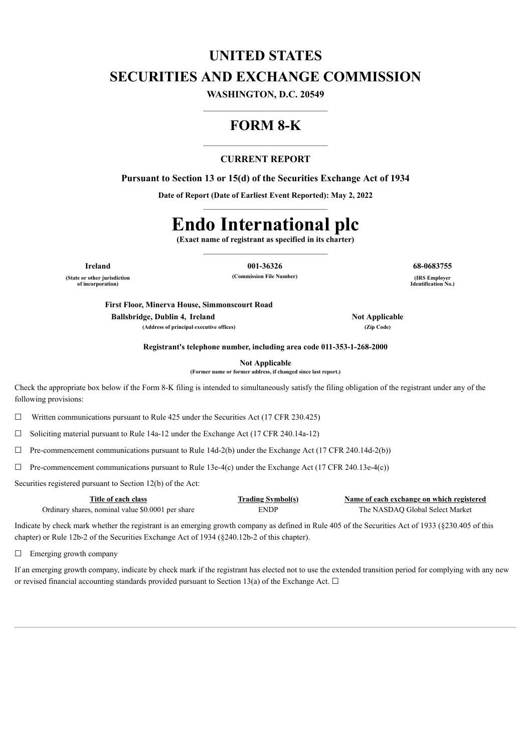# **UNITED STATES SECURITIES AND EXCHANGE COMMISSION**

**WASHINGTON, D.C. 20549**  $\mathcal{L}_\text{max}$ 

# **FORM 8-K**

# **CURRENT REPORT**

**Pursuant to Section 13 or 15(d) of the Securities Exchange Act of 1934**

**Date of Report (Date of Earliest Event Reported): May 2, 2022**

# **Endo International plc**

**(Exact name of registrant as specified in its charter)**

**(State or other jurisdiction of incorporation)**

**Ireland 001-36326 68-0683755**  $(Commission File Number)$ 

**Identification No.)**

**First Floor, Minerva House, Simmonscourt Road Ballsbridge, Dublin 4, Ireland Not Not Applicable (Address of principal executive offices) (Zip Code)**

**Registrant's telephone number, including area code 011-353-1-268-2000**

**Not Applicable**

**(Former name or former address, if changed since last report.)**

Check the appropriate box below if the Form 8-K filing is intended to simultaneously satisfy the filing obligation of the registrant under any of the following provisions:

 $\Box$  Written communications pursuant to Rule 425 under the Securities Act (17 CFR 230.425)

 $\Box$  Soliciting material pursuant to Rule 14a-12 under the Exchange Act (17 CFR 240.14a-12)

 $\Box$  Pre-commencement communications pursuant to Rule 14d-2(b) under the Exchange Act (17 CFR 240.14d-2(b))

 $\Box$  Pre-commencement communications pursuant to Rule 13e-4(c) under the Exchange Act (17 CFR 240.13e-4(c))

Securities registered pursuant to Section 12(b) of the Act:

| Title of each class                               | <b>Trading Symbol(s)</b> | Name of each exchange on which registered |
|---------------------------------------------------|--------------------------|-------------------------------------------|
| Ordinary shares, nominal value \$0.0001 per share | <b>ENDP</b>              | The NASDAO Global Select Market           |

Indicate by check mark whether the registrant is an emerging growth company as defined in Rule 405 of the Securities Act of 1933 (§230.405 of this chapter) or Rule 12b-2 of the Securities Exchange Act of 1934 (§240.12b-2 of this chapter).

□ Emerging growth company

If an emerging growth company, indicate by check mark if the registrant has elected not to use the extended transition period for complying with any new or revised financial accounting standards provided pursuant to Section 13(a) of the Exchange Act.  $\Box$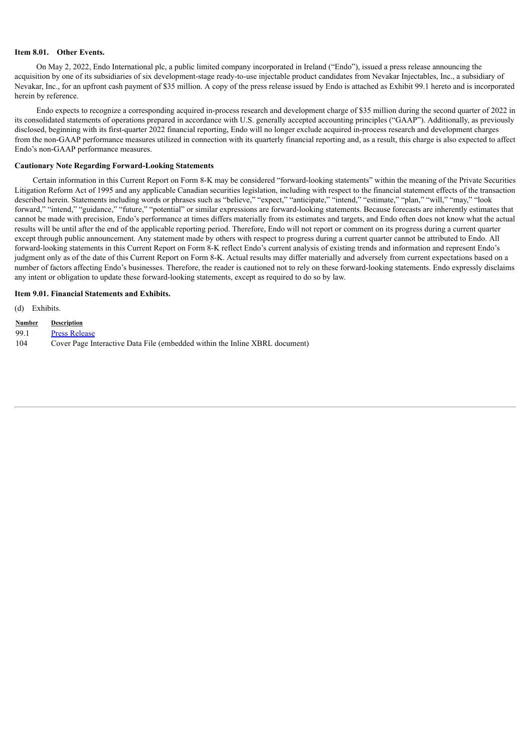#### **Item 8.01. Other Events.**

On May 2, 2022, Endo International plc, a public limited company incorporated in Ireland ("Endo"), issued a press release announcing the acquisition by one of its subsidiaries of six development-stage ready-to-use injectable product candidates from Nevakar Injectables, Inc., a subsidiary of Nevakar, Inc., for an upfront cash payment of \$35 million. A copy of the press release issued by Endo is attached as Exhibit 99.1 hereto and is incorporated herein by reference.

Endo expects to recognize a corresponding acquired in-process research and development charge of \$35 million during the second quarter of 2022 in its consolidated statements of operations prepared in accordance with U.S. generally accepted accounting principles ("GAAP"). Additionally, as previously disclosed, beginning with its first-quarter 2022 financial reporting, Endo will no longer exclude acquired in-process research and development charges from the non-GAAP performance measures utilized in connection with its quarterly financial reporting and, as a result, this charge is also expected to affect Endo's non-GAAP performance measures.

# **Cautionary Note Regarding Forward-Looking Statements**

Certain information in this Current Report on Form 8-K may be considered "forward-looking statements" within the meaning of the Private Securities Litigation Reform Act of 1995 and any applicable Canadian securities legislation, including with respect to the financial statement effects of the transaction described herein. Statements including words or phrases such as "believe," "expect," "anticipate," "intend," "estimate," "plan," "will," "may," "look forward," "intend," "guidance," "future," "potential" or similar expressions are forward-looking statements. Because forecasts are inherently estimates that cannot be made with precision, Endo's performance at times differs materially from its estimates and targets, and Endo often does not know what the actual results will be until after the end of the applicable reporting period. Therefore, Endo will not report or comment on its progress during a current quarter except through public announcement. Any statement made by others with respect to progress during a current quarter cannot be attributed to Endo. All forward-looking statements in this Current Report on Form 8-K reflect Endo's current analysis of existing trends and information and represent Endo's judgment only as of the date of this Current Report on Form 8-K. Actual results may differ materially and adversely from current expectations based on a number of factors affecting Endo's businesses. Therefore, the reader is cautioned not to rely on these forward-looking statements. Endo expressly disclaims any intent or obligation to update these forward-looking statements, except as required to do so by law.

### **Item 9.01. Financial Statements and Exhibits.**

(d) Exhibits.

- **Number Description**
- 99.1 Press [Release](#page-3-0)
- 104 Cover Page Interactive Data File (embedded within the Inline XBRL document)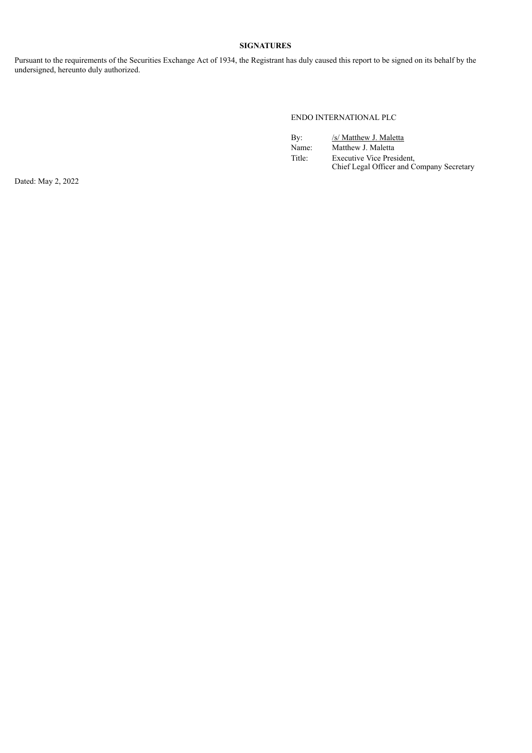# **SIGNATURES**

Pursuant to the requirements of the Securities Exchange Act of 1934, the Registrant has duly caused this report to be signed on its behalf by the undersigned, hereunto duly authorized.

## ENDO INTERNATIONAL PLC

| By:    | /s/ Matthew J. Maletta                                                        |
|--------|-------------------------------------------------------------------------------|
| Name:  | Matthew J. Maletta                                                            |
| Title: | <b>Executive Vice President,</b><br>Chief Legal Officer and Company Secretary |

Dated: May 2, 2022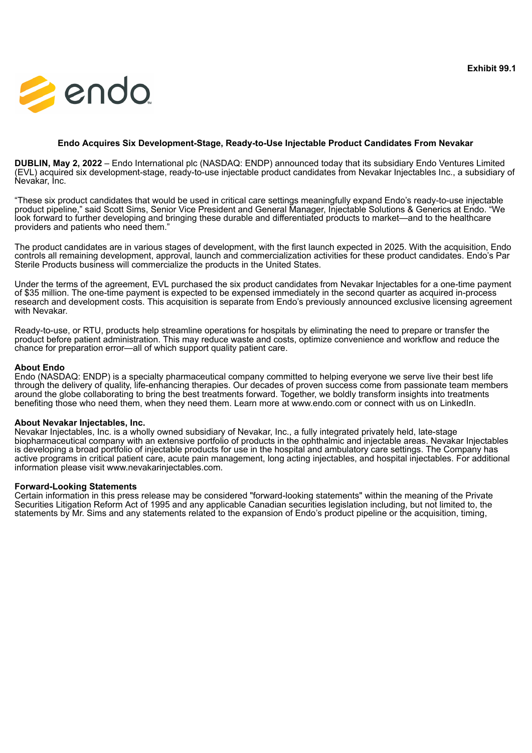<span id="page-3-0"></span>

# **Endo Acquires Six Development-Stage, Ready-to-Use Injectable Product Candidates From Nevakar**

**DUBLIN, May 2, 2022** – Endo International plc (NASDAQ: ENDP) announced today that its subsidiary Endo Ventures Limited (EVL) acquired six development-stage, ready-to-use injectable product candidates from Nevakar Injectables Inc., a subsidiary of Nevakar, Inc.

"These six product candidates that would be used in critical care settings meaningfully expand Endo's ready-to-use injectable product pipeline," said Scott Sims, Senior Vice President and General Manager, Injectable Solutions & Generics at Endo. "We look forward to further developing and bringing these durable and differentiated products to market—and to the healthcare providers and patients who need them."

The product candidates are in various stages of development, with the first launch expected in 2025. With the acquisition, Endo controls all remaining development, approval, launch and commercialization activities for these product candidates. Endo's Par Sterile Products business will commercialize the products in the United States.

Under the terms of the agreement, EVL purchased the six product candidates from Nevakar Injectables for a one-time payment of \$35 million. The one-time payment is expected to be expensed immediately in the second quarter as acquired in-process research and development costs. This acquisition is separate from Endo's previously announced exclusive licensing agreement with Nevakar.

Ready-to-use, or RTU, products help streamline operations for hospitals by eliminating the need to prepare or transfer the product before patient administration. This may reduce waste and costs, optimize convenience and workflow and reduce the chance for preparation error—all of which support quality patient care.

# **About Endo**

Endo (NASDAQ: ENDP) is a specialty pharmaceutical company committed to helping everyone we serve live their best life through the delivery of quality, life-enhancing therapies. Our decades of proven success come from passionate team members around the globe collaborating to bring the best treatments forward. Together, we boldly transform insights into treatments benefiting those who need them, when they need them. Learn more at www.endo.com or connect with us on LinkedIn.

# **About Nevakar Injectables, Inc.**

Nevakar Injectables, Inc. is a wholly owned subsidiary of Nevakar, Inc., a fully integrated privately held, late-stage biopharmaceutical company with an extensive portfolio of products in the ophthalmic and injectable areas. Nevakar Injectables is developing a broad portfolio of injectable products for use in the hospital and ambulatory care settings. The Company has active programs in critical patient care, acute pain management, long acting injectables, and hospital injectables. For additional information please visit www.nevakarinjectables.com.

# **Forward-Looking Statements**

Certain information in this press release may be considered "forward-looking statements" within the meaning of the Private Securities Litigation Reform Act of 1995 and any applicable Canadian securities legislation including, but not limited to, the statements by Mr. Sims and any statements related to the expansion of Endo's product pipeline or the acquisition, timing,